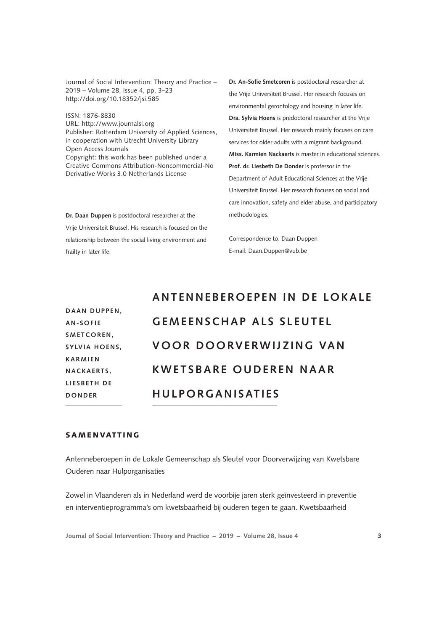Journal of Social Intervention: Theory and Practice – 2019 – Volume 28, Issue 4, pp. 3–23 http://doi.org/10.18352/jsi.585

ISSN: 1876-8830 URL: http://www.journalsi.org Publisher: Rotterdam University of Applied Sciences, in cooperation with Utrecht University Library Open Access Journals Copyright: this work has been published under a Creative Commons Attribution-Noncommercial-No Derivative Works 3.0 Netherlands License

**Dr. Daan Duppen** is postdoctoral researcher at the Vrije Universiteit Brussel. His research is focused on the relationship between the social living environment and frailty in later life.

**Dr. An-Sofie Smetcoren** is postdoctoral researcher at the Vrije Universiteit Brussel. Her research focuses on environmental gerontology and housing in later life. **Dra. Sylvia Hoens** is predoctoral researcher at the Vrije Universiteit Brussel. Her research mainly focuses on care services for older adults with a migrant background. **Miss. Karmien Nackaerts** is master in educational sciences. **Prof. dr. Liesbeth De Donder** is professor in the Department of Adult Educational Sciences at the Vrije Universiteit Brussel. Her research focuses on social and care innovation, safety and elder abuse, and participatory methodologies.

Correspondence to: Daan Duppen E-mail: [Daan.Duppen@vub.be](mailto:Daan.Duppen@vub.be)

|                 | <b>ANTENNEBEROEPEN IN DE LOKALE</b> |
|-----------------|-------------------------------------|
| DAAN DUPPEN,    |                                     |
| <b>AN-SOFIE</b> | <b>GEMEENSCHAP ALS SLEUTEL</b>      |
| SMETCOREN,      |                                     |
| SYLVIA HOENS,   | <b>VOOR DOORVERWIJZING VAN</b>      |
| <b>KARMIEN</b>  |                                     |
| NACKAERTS.      | <b>KWETSBARE OUDEREN NAAR</b>       |
| LIESBETH DE     |                                     |
| DONDER          | <b>HULPORGANISATIES</b>             |
|                 |                                     |

# SAMENVATTING

Antenneberoepen in de Lokale Gemeenschap als Sleutel voor Doorverwijzing van Kwetsbare Ouderen naar Hulporganisaties

Zowel in Vlaanderen als in Nederland werd de voorbije jaren sterk geïnvesteerd in preventie en interventieprogramma's om kwetsbaarheid bij ouderen tegen te gaan. Kwetsbaarheid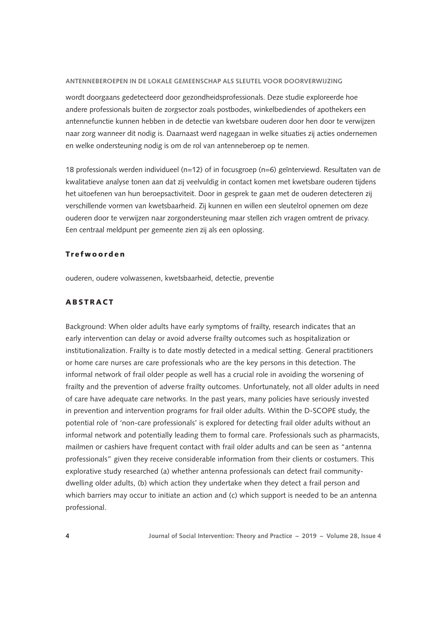wordt doorgaans gedetecteerd door gezondheidsprofessionals. Deze studie exploreerde hoe andere professionals buiten de zorgsector zoals postbodes, winkelbediendes of apothekers een antennefunctie kunnen hebben in de detectie van kwetsbare ouderen door hen door te verwijzen naar zorg wanneer dit nodig is. Daarnaast werd nagegaan in welke situaties zij acties ondernemen en welke ondersteuning nodig is om de rol van antenneberoep op te nemen.

18 professionals werden individueel (n=12) of in focusgroep (n=6) geïnterviewd. Resultaten van de kwalitatieve analyse tonen aan dat zij veelvuldig in contact komen met kwetsbare ouderen tijdens het uitoefenen van hun beroepsactiviteit. Door in gesprek te gaan met de ouderen detecteren zij verschillende vormen van kwetsbaarheid. Zij kunnen en willen een sleutelrol opnemen om deze ouderen door te verwijzen naar zorgondersteuning maar stellen zich vragen omtrent de privacy. Een centraal meldpunt per gemeente zien zij als een oplossing.

### Trefwoorden

ouderen, oudere volwassenen, kwetsbaarheid, detectie, preventie

# ABSTRACT

Background: When older adults have early symptoms of frailty, research indicates that an early intervention can delay or avoid adverse frailty outcomes such as hospitalization or institutionalization. Frailty is to date mostly detected in a medical setting. General practitioners or home care nurses are care professionals who are the key persons in this detection. The informal network of frail older people as well has a crucial role in avoiding the worsening of frailty and the prevention of adverse frailty outcomes. Unfortunately, not all older adults in need of care have adequate care networks. In the past years, many policies have seriously invested in prevention and intervention programs for frail older adults. Within the D-SCOPE study, the potential role of 'non-care professionals' is explored for detecting frail older adults without an informal network and potentially leading them to formal care. Professionals such as pharmacists, mailmen or cashiers have frequent contact with frail older adults and can be seen as "antenna professionals" given they receive considerable information from their clients or costumers. This explorative study researched (a) whether antenna professionals can detect frail communitydwelling older adults, (b) which action they undertake when they detect a frail person and which barriers may occur to initiate an action and (c) which support is needed to be an antenna professional.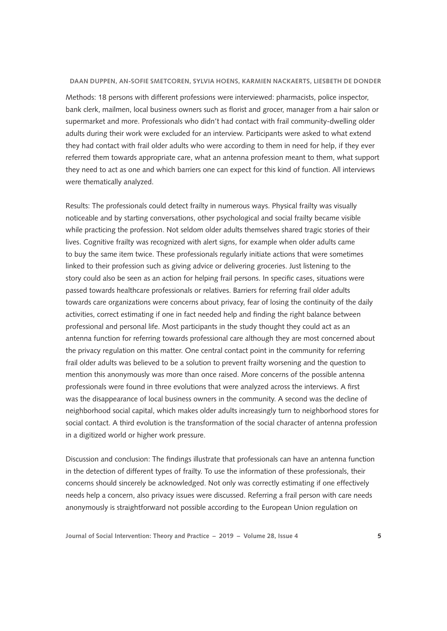Methods: 18 persons with different professions were interviewed: pharmacists, police inspector, bank clerk, mailmen, local business owners such as florist and grocer, manager from a hair salon or supermarket and more. Professionals who didn't had contact with frail community-dwelling older adults during their work were excluded for an interview. Participants were asked to what extend they had contact with frail older adults who were according to them in need for help, if they ever referred them towards appropriate care, what an antenna profession meant to them, what support they need to act as one and which barriers one can expect for this kind of function. All interviews were thematically analyzed.

Results: The professionals could detect frailty in numerous ways. Physical frailty was visually noticeable and by starting conversations, other psychological and social frailty became visible while practicing the profession. Not seldom older adults themselves shared tragic stories of their lives. Cognitive frailty was recognized with alert signs, for example when older adults came to buy the same item twice. These professionals regularly initiate actions that were sometimes linked to their profession such as giving advice or delivering groceries. Just listening to the story could also be seen as an action for helping frail persons. In specific cases, situations were passed towards healthcare professionals or relatives. Barriers for referring frail older adults towards care organizations were concerns about privacy, fear of losing the continuity of the daily activities, correct estimating if one in fact needed help and finding the right balance between professional and personal life. Most participants in the study thought they could act as an antenna function for referring towards professional care although they are most concerned about the privacy regulation on this matter. One central contact point in the community for referring frail older adults was believed to be a solution to prevent frailty worsening and the question to mention this anonymously was more than once raised. More concerns of the possible antenna professionals were found in three evolutions that were analyzed across the interviews. A first was the disappearance of local business owners in the community. A second was the decline of neighborhood social capital, which makes older adults increasingly turn to neighborhood stores for social contact. A third evolution is the transformation of the social character of antenna profession in a digitized world or higher work pressure.

Discussion and conclusion: The findings illustrate that professionals can have an antenna function in the detection of different types of frailty. To use the information of these professionals, their concerns should sincerely be acknowledged. Not only was correctly estimating if one effectively needs help a concern, also privacy issues were discussed. Referring a frail person with care needs anonymously is straightforward not possible according to the European Union regulation on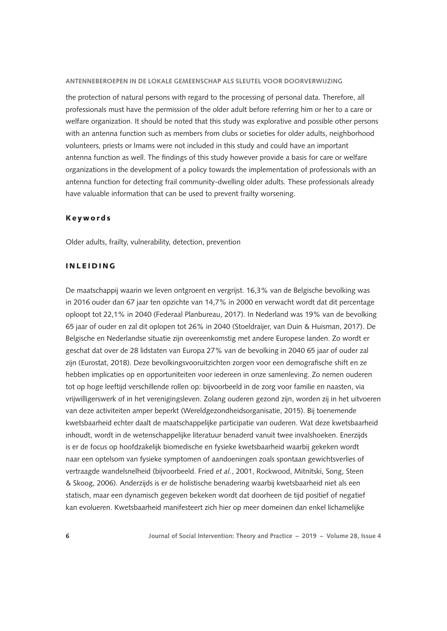the protection of natural persons with regard to the processing of personal data. Therefore, all professionals must have the permission of the older adult before referring him or her to a care or welfare organization. It should be noted that this study was explorative and possible other persons with an antenna function such as members from clubs or societies for older adults, neighborhood volunteers, priests or Imams were not included in this study and could have an important antenna function as well. The findings of this study however provide a basis for care or welfare organizations in the development of a policy towards the implementation of professionals with an antenna function for detecting frail community-dwelling older adults. These professionals already have valuable information that can be used to prevent frailty worsening.

### Keywords

Older adults, frailty, vulnerability, detection, prevention

## INLEIDING

De maatschappij waarin we leven ontgroent en vergrijst. 16,3% van de Belgische bevolking was in 2016 ouder dan 67 jaar ten opzichte van 14,7% in 2000 en verwacht wordt dat dit percentage oploopt tot 22,1% in 2040 (Federaal Planbureau, 2017). In Nederland was 19% van de bevolking 65 jaar of ouder en zal dit oplopen tot 26% in 2040 (Stoeldraijer, van Duin & Huisman, 2017). De Belgische en Nederlandse situatie zijn overeenkomstig met andere Europese landen. Zo wordt er geschat dat over de 28 lidstaten van Europa 27% van de bevolking in 2040 65 jaar of ouder zal zijn (Eurostat, 2018). Deze bevolkingsvooruitzichten zorgen voor een demografische shift en ze hebben implicaties op en opportuniteiten voor iedereen in onze samenleving. Zo nemen ouderen tot op hoge leeftijd verschillende rollen op: bijvoorbeeld in de zorg voor familie en naasten, via vrijwilligerswerk of in het verenigingsleven. Zolang ouderen gezond zijn, worden zij in het uitvoeren van deze activiteiten amper beperkt (Wereldgezondheidsorganisatie, 2015). Bij toenemende kwetsbaarheid echter daalt de maatschappelijke participatie van ouderen. Wat deze kwetsbaarheid inhoudt, wordt in de wetenschappelijke literatuur benaderd vanuit twee invalshoeken. Enerzijds is er de focus op hoofdzakelijk biomedische en fysieke kwetsbaarheid waarbij gekeken wordt naar een optelsom van fysieke symptomen of aandoeningen zoals spontaan gewichtsverlies of vertraagde wandelsnelheid (bijvoorbeeld. Fried *et al.*, 2001, Rockwood, Mitnitski, Song, Steen & Skoog, 2006). Anderzijds is er de holistische benadering waarbij kwetsbaarheid niet als een statisch, maar een dynamisch gegeven bekeken wordt dat doorheen de tijd positief of negatief kan evolueren. Kwetsbaarheid manifesteert zich hier op meer domeinen dan enkel lichamelijke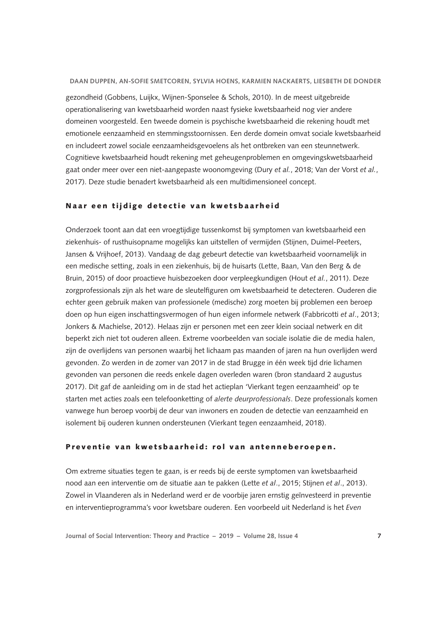gezondheid (Gobbens, Luijkx, Wijnen-Sponselee & Schols, 2010). In de meest uitgebreide operationalisering van kwetsbaarheid worden naast fysieke kwetsbaarheid nog vier andere domeinen voorgesteld. Een tweede domein is psychische kwetsbaarheid die rekening houdt met emotionele eenzaamheid en stemmingsstoornissen. Een derde domein omvat sociale kwetsbaarheid en includeert zowel sociale eenzaamheidsgevoelens als het ontbreken van een steunnetwerk. Cognitieve kwetsbaarheid houdt rekening met geheugenproblemen en omgevingskwetsbaarheid gaat onder meer over een niet-aangepaste woonomgeving (Dury *et al.*, 2018; Van der Vorst *et al.*, 2017). Deze studie benadert kwetsbaarheid als een multidimensioneel concept.

### Naar een tijdige detectie van kwetsbaarheid

Onderzoek toont aan dat een vroegtijdige tussenkomst bij symptomen van kwetsbaarheid een ziekenhuis- of rusthuisopname mogelijks kan uitstellen of vermijden (Stijnen, Duimel-Peeters, Jansen & Vrijhoef, 2013). Vandaag de dag gebeurt detectie van kwetsbaarheid voornamelijk in een medische setting, zoals in een ziekenhuis, bij de huisarts (Lette, Baan, Van den Berg & de Bruin, 2015) of door proactieve huisbezoeken door verpleegkundigen (Hout *et al.*, 2011). Deze zorgprofessionals zijn als het ware de sleutelfiguren om kwetsbaarheid te detecteren. Ouderen die echter geen gebruik maken van professionele (medische) zorg moeten bij problemen een beroep doen op hun eigen inschattingsvermogen of hun eigen informele netwerk (Fabbricotti *et al*., 2013; Jonkers & Machielse, 2012). Helaas zijn er personen met een zeer klein sociaal netwerk en dit beperkt zich niet tot ouderen alleen. Extreme voorbeelden van sociale isolatie die de media halen, zijn de overlijdens van personen waarbij het lichaam pas maanden of jaren na hun overlijden werd gevonden. Zo werden in de zomer van 2017 in de stad Brugge in één week tijd drie lichamen gevonden van personen die reeds enkele dagen overleden waren (bron standaard 2 augustus 2017). Dit gaf de aanleiding om in de stad het actieplan 'Vierkant tegen eenzaamheid' op te starten met acties zoals een telefoonketting of *alerte deurprofessionals*. Deze professionals komen vanwege hun beroep voorbij de deur van inwoners en zouden de detectie van eenzaamheid en isolement bij ouderen kunnen ondersteunen (Vierkant tegen eenzaamheid, 2018).

## Preventie van kwetsbaarheid: rol van antenneberoepen.

Om extreme situaties tegen te gaan, is er reeds bij de eerste symptomen van kwetsbaarheid nood aan een interventie om de situatie aan te pakken (Lette *et al*., 2015; Stijnen *et al*., 2013). Zowel in Vlaanderen als in Nederland werd er de voorbije jaren ernstig geïnvesteerd in preventie en interventieprogramma's voor kwetsbare ouderen. Een voorbeeld uit Nederland is het *Even*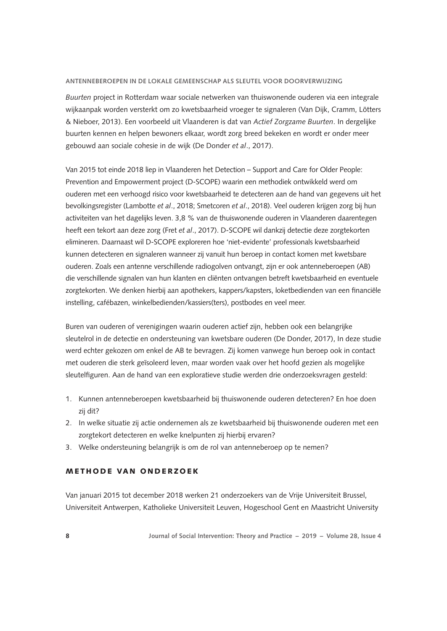*Buurten* project in Rotterdam waar sociale netwerken van thuiswonende ouderen via een integrale wijkaanpak worden versterkt om zo kwetsbaarheid vroeger te signaleren (Van Dijk, Cramm, Lötters & Nieboer, 2013). Een voorbeeld uit Vlaanderen is dat van *Actief Zorgzame Buurten*. In dergelijke buurten kennen en helpen bewoners elkaar, wordt zorg breed bekeken en wordt er onder meer gebouwd aan sociale cohesie in de wijk (De Donder *et al*., 2017).

Van 2015 tot einde 2018 liep in Vlaanderen het Detection – Support and Care for Older People: Prevention and Empowerment project (D-SCOPE) waarin een methodiek ontwikkeld werd om ouderen met een verhoogd risico voor kwetsbaarheid te detecteren aan de hand van gegevens uit het bevolkingsregister (Lambotte *et al*., 2018; Smetcoren *et al*., 2018). Veel ouderen krijgen zorg bij hun activiteiten van het dagelijks leven. 3,8 % van de thuiswonende ouderen in Vlaanderen daarentegen heeft een tekort aan deze zorg (Fret *et al*., 2017). D-SCOPE wil dankzij detectie deze zorgtekorten elimineren. Daarnaast wil D-SCOPE exploreren hoe 'niet-evidente' professionals kwetsbaarheid kunnen detecteren en signaleren wanneer zij vanuit hun beroep in contact komen met kwetsbare ouderen. Zoals een antenne verschillende radiogolven ontvangt, zijn er ook antenneberoepen (AB) die verschillende signalen van hun klanten en cliënten ontvangen betreft kwetsbaarheid en eventuele zorgtekorten. We denken hierbij aan apothekers, kappers/kapsters, loketbedienden van een financiële instelling, cafébazen, winkelbedienden/kassiers(ters), postbodes en veel meer.

Buren van ouderen of verenigingen waarin ouderen actief zijn, hebben ook een belangrijke sleutelrol in de detectie en ondersteuning van kwetsbare ouderen (De Donder, 2017), In deze studie werd echter gekozen om enkel de AB te bevragen. Zij komen vanwege hun beroep ook in contact met ouderen die sterk geïsoleerd leven, maar worden vaak over het hoofd gezien als mogelijke sleutelfiguren. Aan de hand van een exploratieve studie werden drie onderzoeksvragen gesteld:

- 1. Kunnen antenneberoepen kwetsbaarheid bij thuiswonende ouderen detecteren? En hoe doen zij dit?
- 2. In welke situatie zij actie ondernemen als ze kwetsbaarheid bij thuiswonende ouderen met een zorgtekort detecteren en welke knelpunten zij hierbij ervaren?
- 3. Welke ondersteuning belangrijk is om de rol van antenneberoep op te nemen?

# METHODE VAN ONDERZOEK

Van januari 2015 tot december 2018 werken 21 onderzoekers van de Vrije Universiteit Brussel, Universiteit Antwerpen, Katholieke Universiteit Leuven, Hogeschool Gent en Maastricht University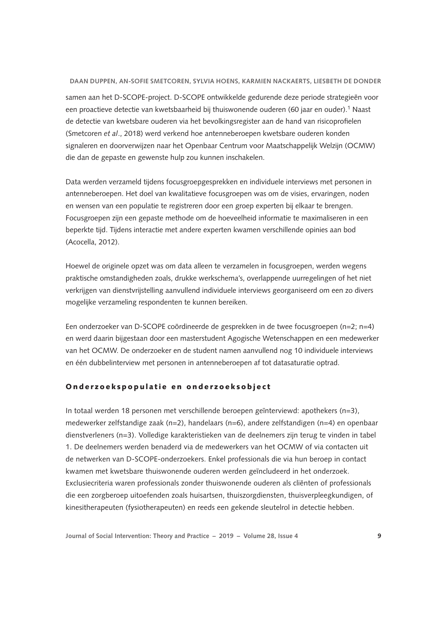samen aan het D-SCOPE-project. D-SCOPE ontwikkelde gedurende deze periode strategieën voor een proactieve detectie van kwetsbaarheid bij thuiswonende ouderen (60 jaar en ouder).<sup>1</sup> Naast de detectie van kwetsbare ouderen via het bevolkingsregister aan de hand van risicoprofielen (Smetcoren *et al*., 2018) werd verkend hoe antenneberoepen kwetsbare ouderen konden signaleren en doorverwijzen naar het Openbaar Centrum voor Maatschappelijk Welzijn (OCMW) die dan de gepaste en gewenste hulp zou kunnen inschakelen.

Data werden verzameld tijdens focusgroepgesprekken en individuele interviews met personen in antenneberoepen. Het doel van kwalitatieve focusgroepen was om de visies, ervaringen, noden en wensen van een populatie te registreren door een groep experten bij elkaar te brengen. Focusgroepen zijn een gepaste methode om de hoeveelheid informatie te maximaliseren in een beperkte tijd. Tijdens interactie met andere experten kwamen verschillende opinies aan bod (Acocella, 2012).

Hoewel de originele opzet was om data alleen te verzamelen in focusgroepen, werden wegens praktische omstandigheden zoals, drukke werkschema's, overlappende uurregelingen of het niet verkrijgen van dienstvrijstelling aanvullend individuele interviews georganiseerd om een zo divers mogelijke verzameling respondenten te kunnen bereiken.

Een onderzoeker van D-SCOPE coördineerde de gesprekken in de twee focusgroepen (n=2; n=4) en werd daarin bijgestaan door een masterstudent Agogische Wetenschappen en een medewerker van het OCMW. De onderzoeker en de student namen aanvullend nog 10 individuele interviews en één dubbelinterview met personen in antenneberoepen af tot datasaturatie optrad.

### Onderzoekspopulatie en onderzoeksobject

In totaal werden 18 personen met verschillende beroepen geïnterviewd: apothekers (n=3), medewerker zelfstandige zaak (n=2), handelaars (n=6), andere zelfstandigen (n=4) en openbaar dienstverleners (n=3). Volledige karakteristieken van de deelnemers zijn terug te vinden in tabel 1. De deelnemers werden benaderd via de medewerkers van het OCMW of via contacten uit de netwerken van D-SCOPE-onderzoekers. Enkel professionals die via hun beroep in contact kwamen met kwetsbare thuiswonende ouderen werden geïncludeerd in het onderzoek. Exclusiecriteria waren professionals zonder thuiswonende ouderen als cliënten of professionals die een zorgberoep uitoefenden zoals huisartsen, thuiszorgdiensten, thuisverpleegkundigen, of kinesitherapeuten (fysiotherapeuten) en reeds een gekende sleutelrol in detectie hebben.

**Journal of Social Intervention: Theory and Practice – 2019 – Volume 28, Issue 4 9**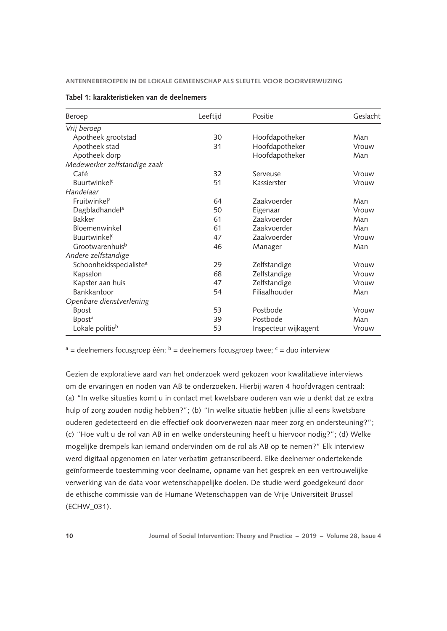| Beroep                              | Leeftijd | Positie              | Geslacht |
|-------------------------------------|----------|----------------------|----------|
| Vrij beroep                         |          |                      |          |
| Apotheek grootstad                  | 30       | Hoofdapotheker       | Man      |
| Apotheek stad                       | 31       | Hoofdapotheker       | Vrouw    |
| Apotheek dorp                       |          | Hoofdapotheker       | Man      |
| Medewerker zelfstandige zaak        |          |                      |          |
| Café                                | 32       | Serveuse             | Vrouw    |
| <b>Buurtwinkel<sup>c</sup></b>      | 51       | Kassierster          | Vrouw    |
| Handelaar                           |          |                      |          |
| Fruitwinkela                        | 64       | <b>Zaakvoerder</b>   | Man      |
| Dagbladhandel <sup>a</sup>          | 50       | Eigenaar             | Vrouw    |
| <b>Bakker</b>                       | 61       | Zaakvoerder          | Man      |
| Bloemenwinkel                       | 61       | Zaakvoerder          | Man      |
| <b>Buurtwinkel<sup>c</sup></b>      | 47       | Zaakvoerder          | Vrouw    |
| Grootwarenhuisb                     | 46       | Manager              | Man      |
| Andere zelfstandige                 |          |                      |          |
| Schoonheidsspecialiste <sup>a</sup> | 29       | Zelfstandige         | Vrouw    |
| Kapsalon                            | 68       | Zelfstandige         | Vrouw    |
| Kapster aan huis                    | 47       | Zelfstandige         | Vrouw    |
| Bankkantoor                         | 54       | Filiaalhouder        | Man      |
| Openbare dienstverlening            |          |                      |          |
| <b>Bpost</b>                        | 53       | Postbode             | Vrouw    |
| <b>Bpost<sup>a</sup></b>            | 39       | Postbode             | Man      |
| Lokale politie <sup>b</sup>         | 53       | Inspecteur wijkagent | Vrouw    |

### **Tabel 1: karakteristieken van de deelnemers**

 $a$  = deelnemers focusgroep één;  $b$  = deelnemers focusgroep twee;  $c$  = duo interview

Gezien de exploratieve aard van het onderzoek werd gekozen voor kwalitatieve interviews om de ervaringen en noden van AB te onderzoeken. Hierbij waren 4 hoofdvragen centraal: (a) "In welke situaties komt u in contact met kwetsbare ouderen van wie u denkt dat ze extra hulp of zorg zouden nodig hebben?"; (b) "In welke situatie hebben jullie al eens kwetsbare ouderen gedetecteerd en die effectief ook doorverwezen naar meer zorg en ondersteuning?"; (c) "Hoe vult u de rol van AB in en welke ondersteuning heeft u hiervoor nodig?"; (d) Welke mogelijke drempels kan iemand ondervinden om de rol als AB op te nemen?" Elk interview werd digitaal opgenomen en later verbatim getranscribeerd. Elke deelnemer ondertekende geïnformeerde toestemming voor deelname, opname van het gesprek en een vertrouwelijke verwerking van de data voor wetenschappelijke doelen. De studie werd goedgekeurd door de ethische commissie van de Humane Wetenschappen van de Vrije Universiteit Brussel (ECHW\_031).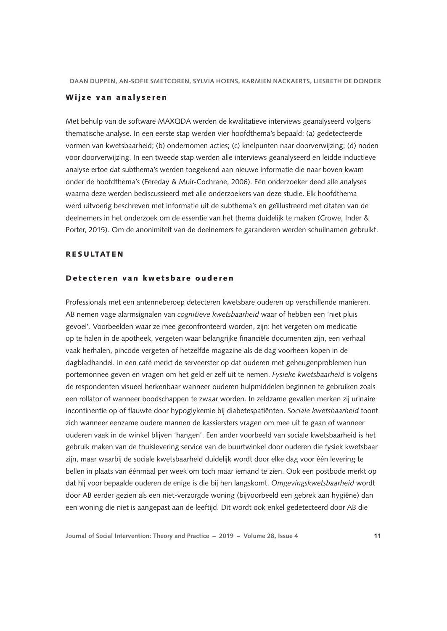### Wijze van analyseren

Met behulp van de software MAXQDA werden de kwalitatieve interviews geanalyseerd volgens thematische analyse. In een eerste stap werden vier hoofdthema's bepaald: (a) gedetecteerde vormen van kwetsbaarheid; (b) ondernomen acties; (c) knelpunten naar doorverwijzing; (d) noden voor doorverwijzing. In een tweede stap werden alle interviews geanalyseerd en leidde inductieve analyse ertoe dat subthema's werden toegekend aan nieuwe informatie die naar boven kwam onder de hoofdthema's (Fereday & Muir-Cochrane, 2006). Eén onderzoeker deed alle analyses waarna deze werden bediscussieerd met alle onderzoekers van deze studie. Elk hoofdthema werd uitvoerig beschreven met informatie uit de subthema's en geïllustreerd met citaten van de deelnemers in het onderzoek om de essentie van het thema duidelijk te maken (Crowe, Inder & Porter, 2015). Om de anonimiteit van de deelnemers te garanderen werden schuilnamen gebruikt.

### RESULTATEN

### Detecteren van kwetsbare ouderen

Professionals met een antenneberoep detecteren kwetsbare ouderen op verschillende manieren. AB nemen vage alarmsignalen van *cognitieve kwetsbaarheid* waar of hebben een 'niet pluis gevoel'. Voorbeelden waar ze mee geconfronteerd worden, zijn: het vergeten om medicatie op te halen in de apotheek, vergeten waar belangrijke financiële documenten zijn, een verhaal vaak herhalen, pincode vergeten of hetzelfde magazine als de dag voorheen kopen in de dagbladhandel. In een café merkt de serveerster op dat ouderen met geheugenproblemen hun portemonnee geven en vragen om het geld er zelf uit te nemen. *Fysieke kwetsbaarheid* is volgens de respondenten visueel herkenbaar wanneer ouderen hulpmiddelen beginnen te gebruiken zoals een rollator of wanneer boodschappen te zwaar worden. In zeldzame gevallen merken zij urinaire incontinentie op of flauwte door hypoglykemie bij diabetespatiënten. *Sociale kwetsbaarheid* toont zich wanneer eenzame oudere mannen de kassiersters vragen om mee uit te gaan of wanneer ouderen vaak in de winkel blijven 'hangen'. Een ander voorbeeld van sociale kwetsbaarheid is het gebruik maken van de thuislevering service van de buurtwinkel door ouderen die fysiek kwetsbaar zijn, maar waarbij de sociale kwetsbaarheid duidelijk wordt door elke dag voor één levering te bellen in plaats van éénmaal per week om toch maar iemand te zien. Ook een postbode merkt op dat hij voor bepaalde ouderen de enige is die bij hen langskomt. *Omgevingskwetsbaarheid* wordt door AB eerder gezien als een niet-verzorgde woning (bijvoorbeeld een gebrek aan hygiëne) dan een woning die niet is aangepast aan de leeftijd. Dit wordt ook enkel gedetecteerd door AB die

**Journal of Social Intervention: Theory and Practice – 2019 – Volume 28, Issue 4 11**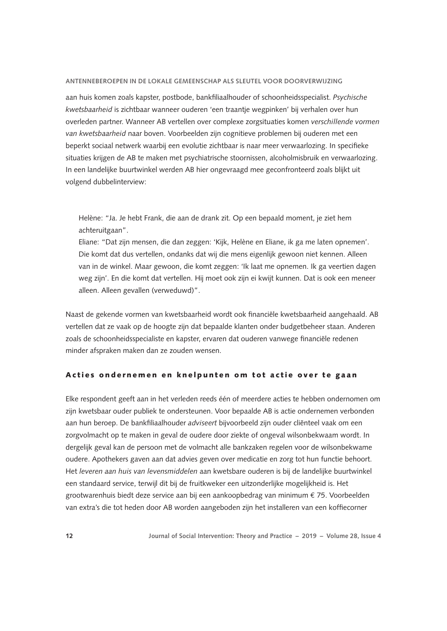aan huis komen zoals kapster, postbode, bankfiliaalhouder of schoonheidsspecialist. *Psychische kwetsbaarheid* is zichtbaar wanneer ouderen 'een traantje wegpinken' bij verhalen over hun overleden partner. Wanneer AB vertellen over complexe zorgsituaties komen *verschillende vormen van kwetsbaarheid* naar boven. Voorbeelden zijn cognitieve problemen bij ouderen met een beperkt sociaal netwerk waarbij een evolutie zichtbaar is naar meer verwaarlozing. In specifieke situaties krijgen de AB te maken met psychiatrische stoornissen, alcoholmisbruik en verwaarlozing. In een landelijke buurtwinkel werden AB hier ongevraagd mee geconfronteerd zoals blijkt uit volgend dubbelinterview:

Helène: "Ja. Je hebt Frank, die aan de drank zit. Op een bepaald moment, je ziet hem achteruitgaan".

Eliane: "Dat zijn mensen, die dan zeggen: 'Kijk, Helène en Eliane, ik ga me laten opnemen'. Die komt dat dus vertellen, ondanks dat wij die mens eigenlijk gewoon niet kennen. Alleen van in de winkel. Maar gewoon, die komt zeggen: 'Ik laat me opnemen. Ik ga veertien dagen weg zijn'. En die komt dat vertellen. Hij moet ook zijn ei kwijt kunnen. Dat is ook een meneer alleen. Alleen gevallen (verweduwd)".

Naast de gekende vormen van kwetsbaarheid wordt ook financiële kwetsbaarheid aangehaald. AB vertellen dat ze vaak op de hoogte zijn dat bepaalde klanten onder budgetbeheer staan. Anderen zoals de schoonheidsspecialiste en kapster, ervaren dat ouderen vanwege financiële redenen minder afspraken maken dan ze zouden wensen.

### Acties ondernemen en knelpunten om tot actie over te gaan

Elke respondent geeft aan in het verleden reeds één of meerdere acties te hebben ondernomen om zijn kwetsbaar ouder publiek te ondersteunen. Voor bepaalde AB is actie ondernemen verbonden aan hun beroep. De bankfiliaalhouder *adviseert* bijvoorbeeld zijn ouder cliënteel vaak om een zorgvolmacht op te maken in geval de oudere door ziekte of ongeval wilsonbekwaam wordt. In dergelijk geval kan de persoon met de volmacht alle bankzaken regelen voor de wilsonbekwame oudere. Apothekers gaven aan dat advies geven over medicatie en zorg tot hun functie behoort. Het *leveren aan huis van levensmiddelen* aan kwetsbare ouderen is bij de landelijke buurtwinkel een standaard service, terwijl dit bij de fruitkweker een uitzonderlijke mogelijkheid is. Het grootwarenhuis biedt deze service aan bij een aankoopbedrag van minimum € 75. Voorbeelden van extra's die tot heden door AB worden aangeboden zijn het installeren van een koffiecorner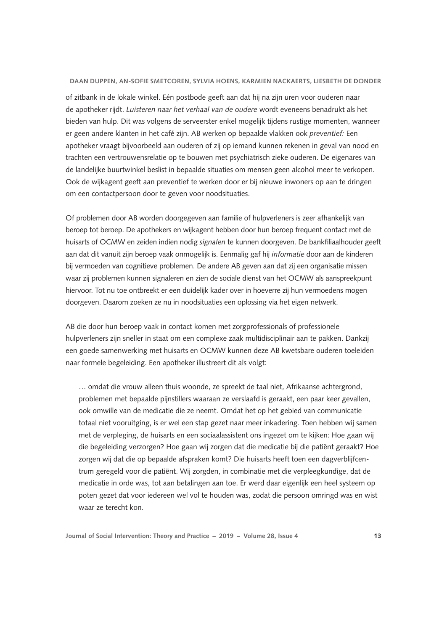of zitbank in de lokale winkel. Eén postbode geeft aan dat hij na zijn uren voor ouderen naar de apotheker rijdt. *Luisteren naar het verhaal van de oudere* wordt eveneens benadrukt als het bieden van hulp. Dit was volgens de serveerster enkel mogelijk tijdens rustige momenten, wanneer er geen andere klanten in het café zijn. AB werken op bepaalde vlakken ook *preventief:* Een apotheker vraagt bijvoorbeeld aan ouderen of zij op iemand kunnen rekenen in geval van nood en trachten een vertrouwensrelatie op te bouwen met psychiatrisch zieke ouderen. De eigenares van de landelijke buurtwinkel beslist in bepaalde situaties om mensen geen alcohol meer te verkopen. Ook de wijkagent geeft aan preventief te werken door er bij nieuwe inwoners op aan te dringen om een contactpersoon door te geven voor noodsituaties.

Of problemen door AB worden doorgegeven aan familie of hulpverleners is zeer afhankelijk van beroep tot beroep. De apothekers en wijkagent hebben door hun beroep frequent contact met de huisarts of OCMW en zeiden indien nodig *signalen* te kunnen doorgeven. De bankfiliaalhouder geeft aan dat dit vanuit zijn beroep vaak onmogelijk is. Eenmalig gaf hij *informatie* door aan de kinderen bij vermoeden van cognitieve problemen. De andere AB geven aan dat zij een organisatie missen waar zij problemen kunnen signaleren en zien de sociale dienst van het OCMW als aanspreekpunt hiervoor. Tot nu toe ontbreekt er een duidelijk kader over in hoeverre zij hun vermoedens mogen doorgeven. Daarom zoeken ze nu in noodsituaties een oplossing via het eigen netwerk.

AB die door hun beroep vaak in contact komen met zorgprofessionals of professionele hulpverleners zijn sneller in staat om een complexe zaak multidisciplinair aan te pakken. Dankzij een goede samenwerking met huisarts en OCMW kunnen deze AB kwetsbare ouderen toeleiden naar formele begeleiding. Een apotheker illustreert dit als volgt:

… omdat die vrouw alleen thuis woonde, ze spreekt de taal niet, Afrikaanse achtergrond, problemen met bepaalde pijnstillers waaraan ze verslaafd is geraakt, een paar keer gevallen, ook omwille van de medicatie die ze neemt. Omdat het op het gebied van communicatie totaal niet vooruitging, is er wel een stap gezet naar meer inkadering. Toen hebben wij samen met de verpleging, de huisarts en een sociaalassistent ons ingezet om te kijken: Hoe gaan wij die begeleiding verzorgen? Hoe gaan wij zorgen dat die medicatie bij die patiënt geraakt? Hoe zorgen wij dat die op bepaalde afspraken komt? Die huisarts heeft toen een dagverblijfcentrum geregeld voor die patiënt. Wij zorgden, in combinatie met die verpleegkundige, dat de medicatie in orde was, tot aan betalingen aan toe. Er werd daar eigenlijk een heel systeem op poten gezet dat voor iedereen wel vol te houden was, zodat die persoon omringd was en wist waar ze terecht kon.

**Journal of Social Intervention: Theory and Practice – 2019 – Volume 28, Issue 4 13**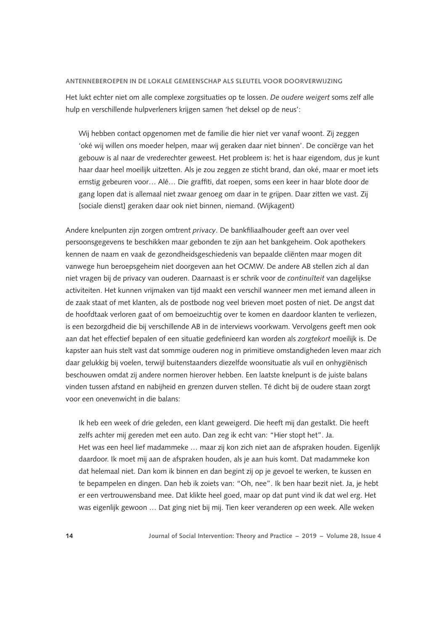Het lukt echter niet om alle complexe zorgsituaties op te lossen. *De oudere weigert* soms zelf alle hulp en verschillende hulpverleners krijgen samen 'het deksel op de neus':

Wij hebben contact opgenomen met de familie die hier niet ver vanaf woont. Zij zeggen 'oké wij willen ons moeder helpen, maar wij geraken daar niet binnen'. De conciërge van het gebouw is al naar de vrederechter geweest. Het probleem is: het is haar eigendom, dus je kunt haar daar heel moeilijk uitzetten. Als je zou zeggen ze sticht brand, dan oké, maar er moet iets ernstig gebeuren voor… Alé… Die graffiti, dat roepen, soms een keer in haar blote door de gang lopen dat is allemaal niet zwaar genoeg om daar in te grijpen. Daar zitten we vast. Zij [sociale dienst] geraken daar ook niet binnen, niemand. (Wijkagent)

Andere knelpunten zijn zorgen omtrent *privacy*. De bankfiliaalhouder geeft aan over veel persoonsgegevens te beschikken maar gebonden te zijn aan het bankgeheim. Ook apothekers kennen de naam en vaak de gezondheidsgeschiedenis van bepaalde cliënten maar mogen dit vanwege hun beroepsgeheim niet doorgeven aan het OCMW. De andere AB stellen zich al dan niet vragen bij de privacy van ouderen. Daarnaast is er schrik voor de *continuïteit* van dagelijkse activiteiten. Het kunnen vrijmaken van tijd maakt een verschil wanneer men met iemand alleen in de zaak staat of met klanten, als de postbode nog veel brieven moet posten of niet. De angst dat de hoofdtaak verloren gaat of om bemoeizuchtig over te komen en daardoor klanten te verliezen, is een bezorgdheid die bij verschillende AB in de interviews voorkwam. Vervolgens geeft men ook aan dat het effectief bepalen of een situatie gedefinieerd kan worden als *zorgtekort* moeilijk is. De kapster aan huis stelt vast dat sommige ouderen nog in primitieve omstandigheden leven maar zich daar gelukkig bij voelen, terwijl buitenstaanders diezelfde woonsituatie als vuil en onhygiënisch beschouwen omdat zij andere normen hierover hebben. Een laatste knelpunt is de juiste balans vinden tussen afstand en nabijheid en grenzen durven stellen. Té dicht bij de oudere staan zorgt voor een onevenwicht in die balans:

Ik heb een week of drie geleden, een klant geweigerd. Die heeft mij dan gestalkt. Die heeft zelfs achter mij gereden met een auto. Dan zeg ik echt van: "Hier stopt het". Ja. Het was een heel lief madammeke … maar zij kon zich niet aan de afspraken houden. Eigenlijk daardoor. Ik moet mij aan de afspraken houden, als je aan huis komt. Dat madammeke kon dat helemaal niet. Dan kom ik binnen en dan begint zij op je gevoel te werken, te kussen en te bepampelen en dingen. Dan heb ik zoiets van: "Oh, nee". Ik ben haar bezit niet. Ja, je hebt er een vertrouwensband mee. Dat klikte heel goed, maar op dat punt vind ik dat wel erg. Het was eigenlijk gewoon … Dat ging niet bij mij. Tien keer veranderen op een week. Alle weken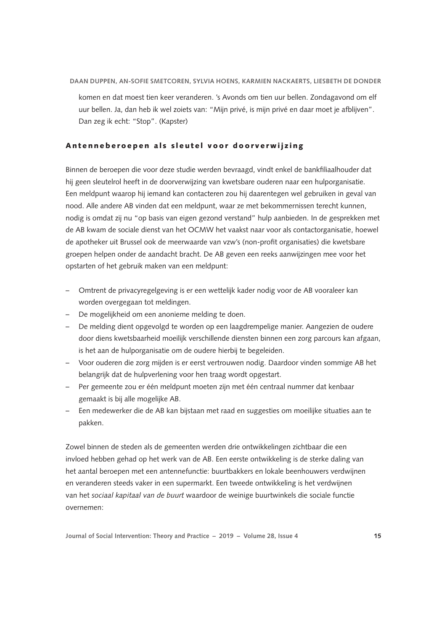komen en dat moest tien keer veranderen. 's Avonds om tien uur bellen. Zondagavond om elf uur bellen. Ja, dan heb ik wel zoiets van: "Mijn privé, is mijn privé en daar moet je afblijven". Dan zeg ik echt: "Stop". (Kapster)

### Antenneberoepen als sleutel voor doorverwijzing

Binnen de beroepen die voor deze studie werden bevraagd, vindt enkel de bankfiliaalhouder dat hij geen sleutelrol heeft in de doorverwijzing van kwetsbare ouderen naar een hulporganisatie. Een meldpunt waarop hij iemand kan contacteren zou hij daarentegen wel gebruiken in geval van nood. Alle andere AB vinden dat een meldpunt, waar ze met bekommernissen terecht kunnen, nodig is omdat zij nu "op basis van eigen gezond verstand" hulp aanbieden. In de gesprekken met de AB kwam de sociale dienst van het OCMW het vaakst naar voor als contactorganisatie, hoewel de apotheker uit Brussel ook de meerwaarde van vzw's (non-profit organisaties) die kwetsbare groepen helpen onder de aandacht bracht. De AB geven een reeks aanwijzingen mee voor het opstarten of het gebruik maken van een meldpunt:

- Omtrent de privacyregelgeving is er een wettelijk kader nodig voor de AB vooraleer kan worden overgegaan tot meldingen.
- De mogelijkheid om een anonieme melding te doen.
- De melding dient opgevolgd te worden op een laagdrempelige manier. Aangezien de oudere door diens kwetsbaarheid moeilijk verschillende diensten binnen een zorg parcours kan afgaan, is het aan de hulporganisatie om de oudere hierbij te begeleiden.
- Voor ouderen die zorg mijden is er eerst vertrouwen nodig. Daardoor vinden sommige AB het belangrijk dat de hulpverlening voor hen traag wordt opgestart.
- Per gemeente zou er één meldpunt moeten zijn met één centraal nummer dat kenbaar gemaakt is bij alle mogelijke AB.
- Een medewerker die de AB kan bijstaan met raad en suggesties om moeilijke situaties aan te pakken.

Zowel binnen de steden als de gemeenten werden drie ontwikkelingen zichtbaar die een invloed hebben gehad op het werk van de AB. Een eerste ontwikkeling is de sterke daling van het aantal beroepen met een antennefunctie: buurtbakkers en lokale beenhouwers verdwijnen en veranderen steeds vaker in een supermarkt. Een tweede ontwikkeling is het verdwijnen van het *sociaal kapitaal van de buurt* waardoor de weinige buurtwinkels die sociale functie overnemen: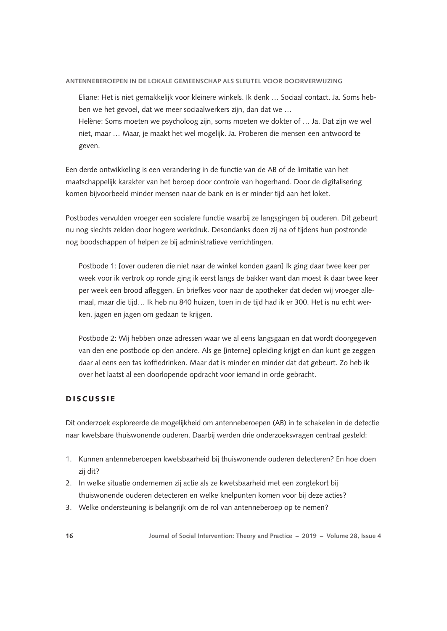Eliane: Het is niet gemakkelijk voor kleinere winkels. Ik denk … Sociaal contact. Ja. Soms hebben we het gevoel, dat we meer sociaalwerkers zijn, dan dat we … Helène: Soms moeten we psycholoog zijn, soms moeten we dokter of … Ja. Dat zijn we wel niet, maar … Maar, je maakt het wel mogelijk. Ja. Proberen die mensen een antwoord te

geven.

Een derde ontwikkeling is een verandering in de functie van de AB of de limitatie van het maatschappelijk karakter van het beroep door controle van hogerhand. Door de digitalisering komen bijvoorbeeld minder mensen naar de bank en is er minder tijd aan het loket.

Postbodes vervulden vroeger een socialere functie waarbij ze langsgingen bij ouderen. Dit gebeurt nu nog slechts zelden door hogere werkdruk. Desondanks doen zij na of tijdens hun postronde nog boodschappen of helpen ze bij administratieve verrichtingen.

Postbode 1: [over ouderen die niet naar de winkel konden gaan] Ik ging daar twee keer per week voor ik vertrok op ronde ging ik eerst langs de bakker want dan moest ik daar twee keer per week een brood afleggen. En briefkes voor naar de apotheker dat deden wij vroeger allemaal, maar die tijd… Ik heb nu 840 huizen, toen in de tijd had ik er 300. Het is nu echt werken, jagen en jagen om gedaan te krijgen.

Postbode 2: Wij hebben onze adressen waar we al eens langsgaan en dat wordt doorgegeven van den ene postbode op den andere. Als ge [interne] opleiding krijgt en dan kunt ge zeggen daar al eens een tas koffiedrinken. Maar dat is minder en minder dat dat gebeurt. Zo heb ik over het laatst al een doorlopende opdracht voor iemand in orde gebracht.

# **DISCUSSIE**

Dit onderzoek exploreerde de mogelijkheid om antenneberoepen (AB) in te schakelen in de detectie naar kwetsbare thuiswonende ouderen. Daarbij werden drie onderzoeksvragen centraal gesteld:

- 1. Kunnen antenneberoepen kwetsbaarheid bij thuiswonende ouderen detecteren? En hoe doen zij dit?
- 2. In welke situatie ondernemen zij actie als ze kwetsbaarheid met een zorgtekort bij thuiswonende ouderen detecteren en welke knelpunten komen voor bij deze acties?
- 3. Welke ondersteuning is belangrijk om de rol van antenneberoep op te nemen?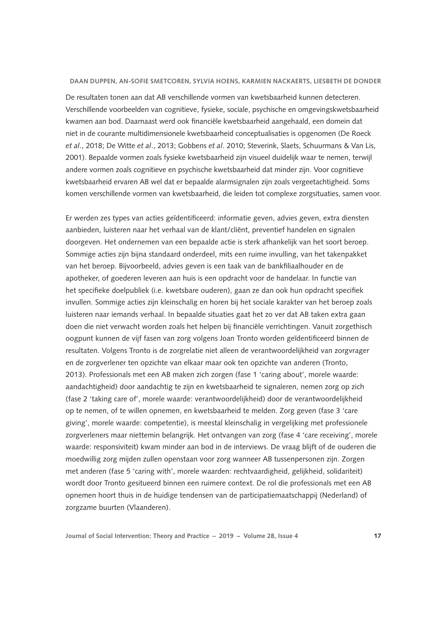De resultaten tonen aan dat AB verschillende vormen van kwetsbaarheid kunnen detecteren. Verschillende voorbeelden van cognitieve, fysieke, sociale, psychische en omgevingskwetsbaarheid kwamen aan bod. Daarnaast werd ook financiële kwetsbaarheid aangehaald, een domein dat niet in de courante multidimensionele kwetsbaarheid conceptualisaties is opgenomen (De Roeck *et al*., 2018; De Witte *et al*., 2013; Gobbens *et al*. 2010; Steverink, Slaets, Schuurmans & Van Lis, 2001). Bepaalde vormen zoals fysieke kwetsbaarheid zijn visueel duidelijk waar te nemen, terwijl andere vormen zoals cognitieve en psychische kwetsbaarheid dat minder zijn. Voor cognitieve kwetsbaarheid ervaren AB wel dat er bepaalde alarmsignalen zijn zoals vergeetachtigheid. Soms komen verschillende vormen van kwetsbaarheid, die leiden tot complexe zorgsituaties, samen voor.

Er werden zes types van acties geïdentificeerd: informatie geven, advies geven, extra diensten aanbieden, luisteren naar het verhaal van de klant/cliënt, preventief handelen en signalen doorgeven. Het ondernemen van een bepaalde actie is sterk afhankelijk van het soort beroep. Sommige acties zijn bijna standaard onderdeel, mits een ruime invulling, van het takenpakket van het beroep. Bijvoorbeeld, advies geven is een taak van de bankfiliaalhouder en de apotheker, of goederen leveren aan huis is een opdracht voor de handelaar. In functie van het specifieke doelpubliek (i.e. kwetsbare ouderen), gaan ze dan ook hun opdracht specifiek invullen. Sommige acties zijn kleinschalig en horen bij het sociale karakter van het beroep zoals luisteren naar iemands verhaal. In bepaalde situaties gaat het zo ver dat AB taken extra gaan doen die niet verwacht worden zoals het helpen bij financiële verrichtingen. Vanuit zorgethisch oogpunt kunnen de vijf fasen van zorg volgens Joan Tronto worden geïdentificeerd binnen de resultaten. Volgens Tronto is de zorgrelatie niet alleen de verantwoordelijkheid van zorgvrager en de zorgverlener ten opzichte van elkaar maar ook ten opzichte van anderen (Tronto, 2013). Professionals met een AB maken zich zorgen (fase 1 'caring about', morele waarde: aandachtigheid) door aandachtig te zijn en kwetsbaarheid te signaleren, nemen zorg op zich (fase 2 'taking care of', morele waarde: verantwoordelijkheid) door de verantwoordelijkheid op te nemen, of te willen opnemen, en kwetsbaarheid te melden. Zorg geven (fase 3 'care giving', morele waarde: competentie), is meestal kleinschalig in vergelijking met professionele zorgverleners maar niettemin belangrijk. Het ontvangen van zorg (fase 4 'care receiving', morele waarde: responsiviteit) kwam minder aan bod in de interviews. De vraag blijft of de ouderen die moedwillig zorg mijden zullen openstaan voor zorg wanneer AB tussenpersonen zijn. Zorgen met anderen (fase 5 'caring with', morele waarden: rechtvaardigheid, gelijkheid, solidariteit) wordt door Tronto gesitueerd binnen een ruimere context. De rol die professionals met een AB opnemen hoort thuis in de huidige tendensen van de participatiemaatschappij (Nederland) of zorgzame buurten (Vlaanderen).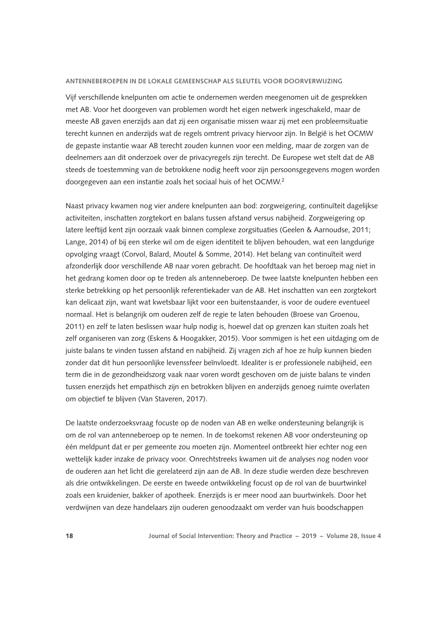Vijf verschillende knelpunten om actie te ondernemen werden meegenomen uit de gesprekken met AB. Voor het doorgeven van problemen wordt het eigen netwerk ingeschakeld, maar de meeste AB gaven enerzijds aan dat zij een organisatie missen waar zij met een probleemsituatie terecht kunnen en anderzijds wat de regels omtrent privacy hiervoor zijn. In België is het OCMW de gepaste instantie waar AB terecht zouden kunnen voor een melding, maar de zorgen van de deelnemers aan dit onderzoek over de privacyregels zijn terecht. De Europese wet stelt dat de AB steeds de toestemming van de betrokkene nodig heeft voor zijn persoonsgegevens mogen worden doorgegeven aan een instantie zoals het sociaal huis of het OCMW.2

Naast privacy kwamen nog vier andere knelpunten aan bod: zorgweigering, continuïteit dagelijkse activiteiten, inschatten zorgtekort en balans tussen afstand versus nabijheid. Zorgweigering op latere leeftijd kent zijn oorzaak vaak binnen complexe zorgsituaties (Geelen & Aarnoudse, 2011; Lange, 2014) of bij een sterke wil om de eigen identiteit te blijven behouden, wat een langdurige opvolging vraagt (Corvol, Balard, Moutel & Somme, 2014). Het belang van continuïteit werd afzonderlijk door verschillende AB naar voren gebracht. De hoofdtaak van het beroep mag niet in het gedrang komen door op te treden als antenneberoep. De twee laatste knelpunten hebben een sterke betrekking op het persoonlijk referentiekader van de AB. Het inschatten van een zorgtekort kan delicaat zijn, want wat kwetsbaar lijkt voor een buitenstaander, is voor de oudere eventueel normaal. Het is belangrijk om ouderen zelf de regie te laten behouden (Broese van Groenou, 2011) en zelf te laten beslissen waar hulp nodig is, hoewel dat op grenzen kan stuiten zoals het zelf organiseren van zorg (Eskens & Hoogakker, 2015). Voor sommigen is het een uitdaging om de juiste balans te vinden tussen afstand en nabijheid. Zij vragen zich af hoe ze hulp kunnen bieden zonder dat dit hun persoonlijke levenssfeer beïnvloedt. Idealiter is er professionele nabijheid, een term die in de gezondheidszorg vaak naar voren wordt geschoven om de juiste balans te vinden tussen enerzijds het empathisch zijn en betrokken blijven en anderzijds genoeg ruimte overlaten om objectief te blijven (Van Staveren, 2017).

De laatste onderzoeksvraag focuste op de noden van AB en welke ondersteuning belangrijk is om de rol van antenneberoep op te nemen. In de toekomst rekenen AB voor ondersteuning op één meldpunt dat er per gemeente zou moeten zijn. Momenteel ontbreekt hier echter nog een wettelijk kader inzake de privacy voor. Onrechtstreeks kwamen uit de analyses nog noden voor de ouderen aan het licht die gerelateerd zijn aan de AB. In deze studie werden deze beschreven als drie ontwikkelingen. De eerste en tweede ontwikkeling focust op de rol van de buurtwinkel zoals een kruidenier, bakker of apotheek. Enerzijds is er meer nood aan buurtwinkels. Door het verdwijnen van deze handelaars zijn ouderen genoodzaakt om verder van huis boodschappen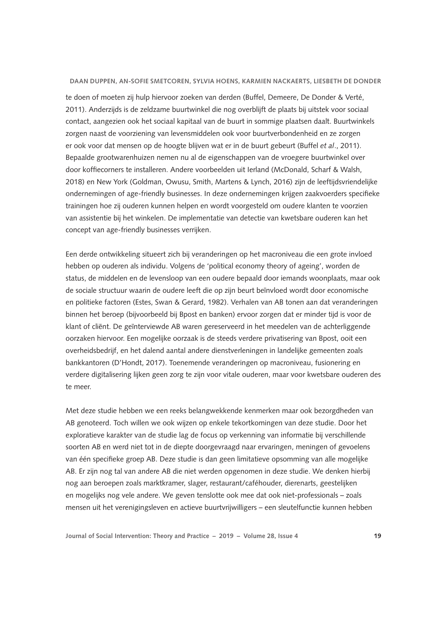te doen of moeten zij hulp hiervoor zoeken van derden (Buffel, Demeere, De Donder & Verté, 2011). Anderzijds is de zeldzame buurtwinkel die nog overblijft de plaats bij uitstek voor sociaal contact, aangezien ook het sociaal kapitaal van de buurt in sommige plaatsen daalt. Buurtwinkels zorgen naast de voorziening van levensmiddelen ook voor buurtverbondenheid en ze zorgen er ook voor dat mensen op de hoogte blijven wat er in de buurt gebeurt (Buffel *et al*., 2011). Bepaalde grootwarenhuizen nemen nu al de eigenschappen van de vroegere buurtwinkel over door koffiecorners te installeren. Andere voorbeelden uit Ierland (McDonald, Scharf & Walsh, 2018) en New York (Goldman, Owusu, Smith, Martens & Lynch, 2016) zijn de leeftijdsvriendelijke ondernemingen of age-friendly businesses. In deze ondernemingen krijgen zaakvoerders specifieke trainingen hoe zij ouderen kunnen helpen en wordt voorgesteld om oudere klanten te voorzien van assistentie bij het winkelen. De implementatie van detectie van kwetsbare ouderen kan het concept van age-friendly businesses verrijken.

Een derde ontwikkeling situeert zich bij veranderingen op het macroniveau die een grote invloed hebben op ouderen als individu. Volgens de 'political economy theory of ageing', worden de status, de middelen en de levensloop van een oudere bepaald door iemands woonplaats, maar ook de sociale structuur waarin de oudere leeft die op zijn beurt beïnvloed wordt door economische en politieke factoren (Estes, Swan & Gerard, 1982). Verhalen van AB tonen aan dat veranderingen binnen het beroep (bijvoorbeeld bij Bpost en banken) ervoor zorgen dat er minder tijd is voor de klant of cliënt. De geïnterviewde AB waren gereserveerd in het meedelen van de achterliggende oorzaken hiervoor. Een mogelijke oorzaak is de steeds verdere privatisering van Bpost, ooit een overheidsbedrijf, en het dalend aantal andere dienstverleningen in landelijke gemeenten zoals bankkantoren (D'Hondt, 2017). Toenemende veranderingen op macroniveau, fusionering en verdere digitalisering lijken geen zorg te zijn voor vitale ouderen, maar voor kwetsbare ouderen des te meer.

Met deze studie hebben we een reeks belangwekkende kenmerken maar ook bezorgdheden van AB genoteerd. Toch willen we ook wijzen op enkele tekortkomingen van deze studie. Door het exploratieve karakter van de studie lag de focus op verkenning van informatie bij verschillende soorten AB en werd niet tot in de diepte doorgevraagd naar ervaringen, meningen of gevoelens van één specifieke groep AB. Deze studie is dan geen limitatieve opsomming van alle mogelijke AB. Er zijn nog tal van andere AB die niet werden opgenomen in deze studie. We denken hierbij nog aan beroepen zoals marktkramer, slager, restaurant/caféhouder, dierenarts, geestelijken en mogelijks nog vele andere. We geven tenslotte ook mee dat ook niet-professionals – zoals mensen uit het verenigingsleven en actieve buurtvrijwilligers – een sleutelfunctie kunnen hebben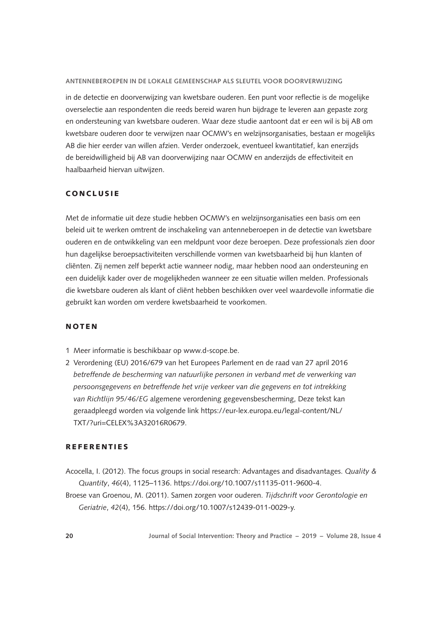in de detectie en doorverwijzing van kwetsbare ouderen. Een punt voor reflectie is de mogelijke overselectie aan respondenten die reeds bereid waren hun bijdrage te leveren aan gepaste zorg en ondersteuning van kwetsbare ouderen. Waar deze studie aantoont dat er een wil is bij AB om kwetsbare ouderen door te verwijzen naar OCMW's en welzijnsorganisaties, bestaan er mogelijks AB die hier eerder van willen afzien. Verder onderzoek, eventueel kwantitatief, kan enerzijds de bereidwilligheid bij AB van doorverwijzing naar OCMW en anderzijds de effectiviteit en haalbaarheid hiervan uitwijzen.

### CONCLUSIE

Met de informatie uit deze studie hebben OCMW's en welzijnsorganisaties een basis om een beleid uit te werken omtrent de inschakeling van antenneberoepen in de detectie van kwetsbare ouderen en de ontwikkeling van een meldpunt voor deze beroepen. Deze professionals zien door hun dagelijkse beroepsactiviteiten verschillende vormen van kwetsbaarheid bij hun klanten of cliënten. Zij nemen zelf beperkt actie wanneer nodig, maar hebben nood aan ondersteuning en een duidelijk kader over de mogelijkheden wanneer ze een situatie willen melden. Professionals die kwetsbare ouderen als klant of cliënt hebben beschikken over veel waardevolle informatie die gebruikt kan worden om verdere kwetsbaarheid te voorkomen.

#### NOTEN

- 1 Meer informatie is beschikbaar op www.d-scope.be.
- 2 Verordening (EU) 2016/679 van het Europees Parlement en de raad van 27 april 2016 *betreffende de bescherming van natuurlijke personen in verband met de verwerking van persoonsgegevens en betreffende het vrije verkeer van die gegevens en tot intrekking van Richtlijn 95/46/EG* algemene verordening gegevensbescherming, Deze tekst kan geraadpleegd worden via volgende link https://eur-lex.europa.eu/legal-content/NL/ TXT/?uri=CELEX%3A32016R0679.

# **REFERENTIES**

- Acocella, I. (2012). The focus groups in social research: Advantages and disadvantages. *Quality & Quantity*, *46*(4), 1125–1136. https://doi.org/10.1007/s11135-011-9600-4.
- Broese van Groenou, M. (2011). Samen zorgen voor ouderen. *Tijdschrift voor Gerontologie en Geriatrie*, *42*(4), 156. https://doi.org/10.1007/s12439-011-0029-y.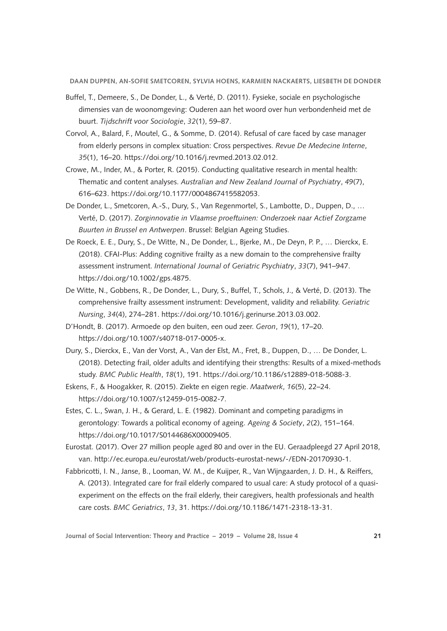- Buffel, T., Demeere, S., De Donder, L., & Verté, D. (2011). Fysieke, sociale en psychologische dimensies van de woonomgeving: Ouderen aan het woord over hun verbondenheid met de buurt. *Tijdschrift voor Sociologie*, *32*(1), 59–87.
- Corvol, A., Balard, F., Moutel, G., & Somme, D. (2014). Refusal of care faced by case manager from elderly persons in complex situation: Cross perspectives. *Revue De Medecine Interne*, *35*(1), 16–20. https://doi.org/10.1016/j.revmed.2013.02.012.
- Crowe, M., Inder, M., & Porter, R. (2015). Conducting qualitative research in mental health: Thematic and content analyses. *Australian and New Zealand Journal of Psychiatry*, *49*(7), 616–623. https://doi.org/10.1177/0004867415582053.
- De Donder, L., Smetcoren, A.-S., Dury, S., Van Regenmortel, S., Lambotte, D., Duppen, D., … Verté, D. (2017). *Zorginnovatie in Vlaamse proeftuinen: Onderzoek naar Actief Zorgzame Buurten in Brussel en Antwerpen*. Brussel: Belgian Ageing Studies.
- De Roeck, E. E., Dury, S., De Witte, N., De Donder, L., Bjerke, M., De Deyn, P. P., … Dierckx, E. (2018). CFAI-Plus: Adding cognitive frailty as a new domain to the comprehensive frailty assessment instrument. *International Journal of Geriatric Psychiatry*, *33*(7), 941–947. https://doi.org/10.1002/gps.4875.
- De Witte, N., Gobbens, R., De Donder, L., Dury, S., Buffel, T., Schols, J., & Verté, D. (2013). The comprehensive frailty assessment instrument: Development, validity and reliability. *Geriatric Nursing*, *34*(4), 274–281. https://doi.org/10.1016/j.gerinurse.2013.03.002.
- D'Hondt, B. (2017). Armoede op den buiten, een oud zeer. *Geron*, *19*(1), 17–20. https://doi.org/10.1007/s40718-017-0005-x.
- Dury, S., Dierckx, E., Van der Vorst, A., Van der Elst, M., Fret, B., Duppen, D., … De Donder, L. (2018). Detecting frail, older adults and identifying their strengths: Results of a mixed-methods study. *BMC Public Health*, *18*(1), 191. https://doi.org/10.1186/s12889-018-5088-3.
- Eskens, F., & Hoogakker, R. (2015). Ziekte en eigen regie. *Maatwerk*, *16*(5), 22–24. https://doi.org/10.1007/s12459-015-0082-7.
- Estes, C. L., Swan, J. H., & Gerard, L. E. (1982). Dominant and competing paradigms in gerontology: Towards a political economy of ageing. *Ageing & Society*, *2*(2), 151–164. https://doi.org/10.1017/S0144686X00009405.
- Eurostat. (2017). Over 27 million people aged 80 and over in the EU. Geraadpleegd 27 April 2018, van. http://ec.europa.eu/eurostat/web/products-eurostat-news/-/EDN-20170930-1.
- Fabbricotti, I. N., Janse, B., Looman, W. M., de Kuijper, R., Van Wijngaarden, J. D. H., & Reiffers, A. (2013). Integrated care for frail elderly compared to usual care: A study protocol of a quasiexperiment on the effects on the frail elderly, their caregivers, health professionals and health care costs. *BMC Geriatrics*, *13*, 31. https://doi.org/10.1186/1471-2318-13-31.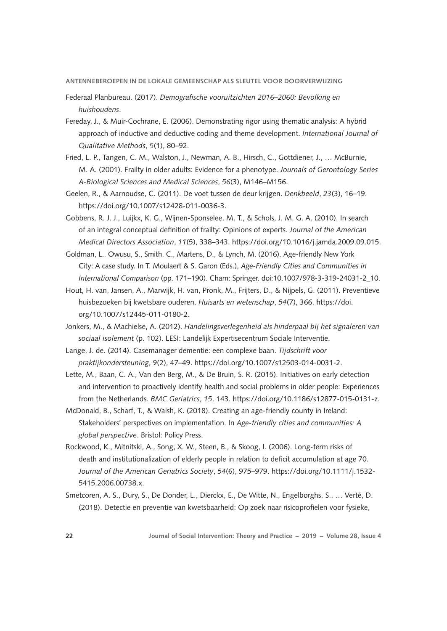- Federaal Planbureau. (2017). *Demografische vooruitzichten 2016–2060: Bevolking en huishoudens*.
- Fereday, J., & Muir-Cochrane, E. (2006). Demonstrating rigor using thematic analysis: A hybrid approach of inductive and deductive coding and theme development. *International Journal of Qualitative Methods*, *5*(1), 80–92.
- Fried, L. P., Tangen, C. M., Walston, J., Newman, A. B., Hirsch, C., Gottdiener, J., … McBurnie, M. A. (2001). Frailty in older adults: Evidence for a phenotype. *Journals of Gerontology Series A-Biological Sciences and Medical Sciences*, *56*(3), M146–M156.
- Geelen, R., & Aarnoudse, C. (2011). De voet tussen de deur krijgen. *Denkbeeld*, *23*(3), 16–19. https://doi.org/10.1007/s12428-011-0036-3.
- Gobbens, R. J. J., Luijkx, K. G., Wijnen-Sponselee, M. T., & Schols, J. M. G. A. (2010). In search of an integral conceptual definition of frailty: Opinions of experts. *Journal of the American Medical Directors Association*, *11*(5), 338–343. https://doi.org/10.1016/j.jamda.2009.09.015.
- Goldman, L., Owusu, S., Smith, C., Martens, D., & Lynch, M. (2016). Age-friendly New York City: A case study. In T. Moulaert & S. Garon (Eds.), *Age-Friendly Cities and Communities in International Comparison* (pp. 171–190). Cham: Springer. doi:10.1007/978-3-319-24031-2\_10.
- Hout, H. van, Jansen, A., Marwijk, H. van, Pronk, M., Frijters, D., & Nijpels, G. (2011). Preventieve huisbezoeken bij kwetsbare ouderen. *Huisarts en wetenschap*, *54*(7), 366. https://doi. org/10.1007/s12445-011-0180-2.
- Jonkers, M., & Machielse, A. (2012). *Handelingsverlegenheid als hinderpaal bij het signaleren van sociaal isolement* (p. 102). LESI: Landelijk Expertisecentrum Sociale Interventie.
- Lange, J. de. (2014). Casemanager dementie: een complexe baan. *Tijdschrift voor praktijkondersteuning*, *9*(2), 47–49. https://doi.org/10.1007/s12503-014-0031-2.
- Lette, M., Baan, C. A., Van den Berg, M., & De Bruin, S. R. (2015). Initiatives on early detection and intervention to proactively identify health and social problems in older people: Experiences from the Netherlands. *BMC Geriatrics*, *15*, 143. https://doi.org/10.1186/s12877-015-0131-z.
- McDonald, B., Scharf, T., & Walsh, K. (2018). Creating an age-friendly county in Ireland: Stakeholders' perspectives on implementation. In *Age-friendly cities and communities: A global perspective*. Bristol: Policy Press.
- Rockwood, K., Mitnitski, A., Song, X. W., Steen, B., & Skoog, I. (2006). Long-term risks of death and institutionalization of elderly people in relation to deficit accumulation at age 70. *Journal of the American Geriatrics Society*, *54*(6), 975–979. https://doi.org/10.1111/j.1532- 5415.2006.00738.x.
- Smetcoren, A. S., Dury, S., De Donder, L., Dierckx, E., De Witte, N., Engelborghs, S., … Verté, D. (2018). Detectie en preventie van kwetsbaarheid: Op zoek naar risicoprofielen voor fysieke,